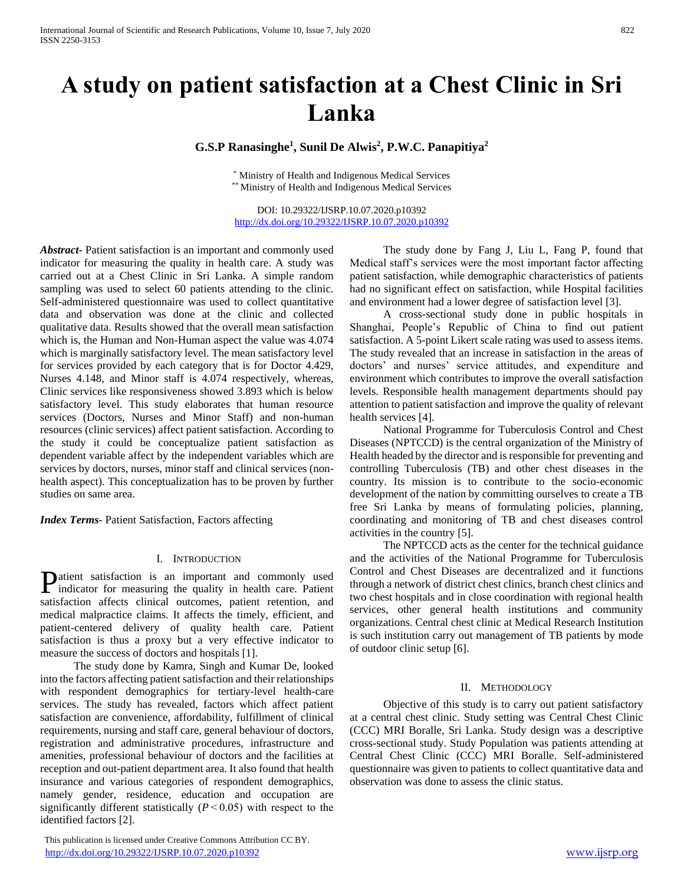# **A study on patient satisfaction at a Chest Clinic in Sri Lanka**

# **G.S.P Ranasinghe<sup>1</sup> , Sunil De Alwis<sup>2</sup> , P.W.C. Panapitiya<sup>2</sup>**

\* Ministry of Health and Indigenous Medical Services \*\* Ministry of Health and Indigenous Medical Services

DOI: 10.29322/IJSRP.10.07.2020.p10392 <http://dx.doi.org/10.29322/IJSRP.10.07.2020.p10392>

*Abstract***-** Patient satisfaction is an important and commonly used indicator for measuring the quality in health care. A study was carried out at a Chest Clinic in Sri Lanka. A simple random sampling was used to select 60 patients attending to the clinic. Self-administered questionnaire was used to collect quantitative data and observation was done at the clinic and collected qualitative data. Results showed that the overall mean satisfaction which is, the Human and Non-Human aspect the value was 4.074 which is marginally satisfactory level. The mean satisfactory level for services provided by each category that is for Doctor 4.429, Nurses 4.148, and Minor staff is 4.074 respectively, whereas, Clinic services like responsiveness showed 3.893 which is below satisfactory level. This study elaborates that human resource services (Doctors, Nurses and Minor Staff) and non-human resources (clinic services) affect patient satisfaction. According to the study it could be conceptualize patient satisfaction as dependent variable affect by the independent variables which are services by doctors, nurses, minor staff and clinical services (nonhealth aspect). This conceptualization has to be proven by further studies on same area.

*Index Terms*- Patient Satisfaction, Factors affecting

#### I. INTRODUCTION

atient satisfaction is an important and commonly used **P**atient satisfaction is an important and commonly used indicator for measuring the quality in health care. Patient satisfaction affects clinical outcomes, patient retention, and medical malpractice claims. It affects the timely, efficient, and patient-centered delivery of quality health care. Patient satisfaction is thus a proxy but a very effective indicator to measure the success of doctors and hospitals [1].

 The study done by Kamra, Singh and Kumar De, looked into the factors affecting patient satisfaction and their relationships with respondent demographics for tertiary-level health-care services. The study has revealed, factors which affect patient satisfaction are convenience, affordability, fulfillment of clinical requirements, nursing and staff care, general behaviour of doctors, registration and administrative procedures, infrastructure and amenities, professional behaviour of doctors and the facilities at reception and out-patient department area. It also found that health insurance and various categories of respondent demographics, namely gender, residence, education and occupation are significantly different statistically  $(P<0.05)$  with respect to the identified factors [2].

 This publication is licensed under Creative Commons Attribution CC BY. <http://dx.doi.org/10.29322/IJSRP.10.07.2020.p10392> [www.ijsrp.org](http://ijsrp.org/)

 The study done by Fang J, Liu L, Fang P, found that Medical staff's services were the most important factor affecting patient satisfaction, while demographic characteristics of patients had no significant effect on satisfaction, while Hospital facilities and environment had a lower degree of satisfaction level [3].

 A cross-sectional study done in public hospitals in Shanghai, People's Republic of China to find out patient satisfaction. A 5-point Likert scale rating was used to assess items. The study revealed that an increase in satisfaction in the areas of doctors' and nurses' service attitudes, and expenditure and environment which contributes to improve the overall satisfaction levels. Responsible health management departments should pay attention to patient satisfaction and improve the quality of relevant health services [4].

 National Programme for Tuberculosis Control and Chest Diseases (NPTCCD) is the central organization of the Ministry of Health headed by the director and is responsible for preventing and controlling Tuberculosis (TB) and other chest diseases in the country. Its mission is to contribute to the socio-economic development of the nation by committing ourselves to create a TB free Sri Lanka by means of formulating policies, planning, coordinating and monitoring of TB and chest diseases control activities in the country [5].

 The NPTCCD acts as the center for the technical guidance and the activities of the National Programme for Tuberculosis Control and Chest Diseases are decentralized and it functions through a network of district chest clinics, branch chest clinics and two chest hospitals and in close coordination with regional health services, other general health institutions and community organizations. Central chest clinic at Medical Research Institution is such institution carry out management of TB patients by mode of outdoor clinic setup [6].

#### II. METHODOLOGY

 Objective of this study is to carry out patient satisfactory at a central chest clinic. Study setting was Central Chest Clinic (CCC) MRI Boralle, Sri Lanka. Study design was a descriptive cross-sectional study. Study Population was patients attending at Central Chest Clinic (CCC) MRI Boralle. Self-administered questionnaire was given to patients to collect quantitative data and observation was done to assess the clinic status.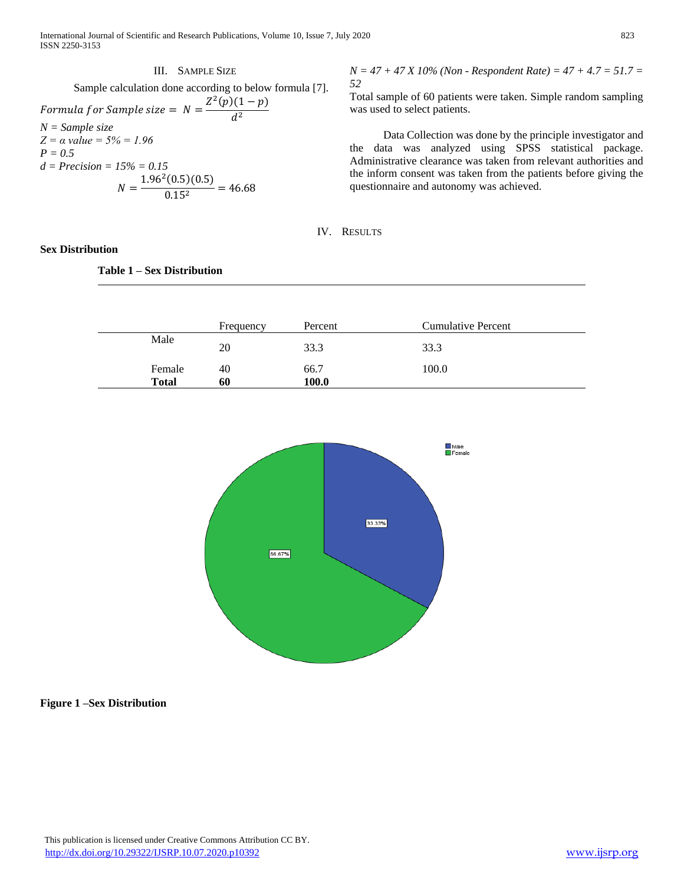International Journal of Scientific and Research Publications, Volume 10, Issue 7, July 2020 823 ISSN 2250-3153

# III. SAMPLE SIZE Sample calculation done according to below formula [7]. Formula for Sample size =  $N = \frac{Z^2(p)(1-p)}{P^2}$  $d^2$ *N = Sample size Z = α value = 5% = 1.96 P = 0.5 d = Precision = 15% = 0.15*  $N = \frac{1.96^2(0.5)(0.5)}{0.15^2} = 46.68$

#### **Sex Distribution**

# **Table 1 – Sex Distribution**

*N = 47 + 47 X 10% (Non - Respondent Rate) = 47 + 4.7 = 51.7 = 52*

Total sample of 60 patients were taken. Simple random sampling was used to select patients.

 Data Collection was done by the principle investigator and the data was analyzed using SPSS statistical package. Administrative clearance was taken from relevant authorities and the inform consent was taken from the patients before giving the questionnaire and autonomy was achieved.

IV. RESULTS

|                        | Frequency | Percent       | <b>Cumulative Percent</b> |
|------------------------|-----------|---------------|---------------------------|
| Male                   | 20        | 33.3          | 33.3                      |
| Female<br><b>Total</b> | 40<br>60  | 66.7<br>100.0 | 100.0                     |



#### **Figure 1 –Sex Distribution**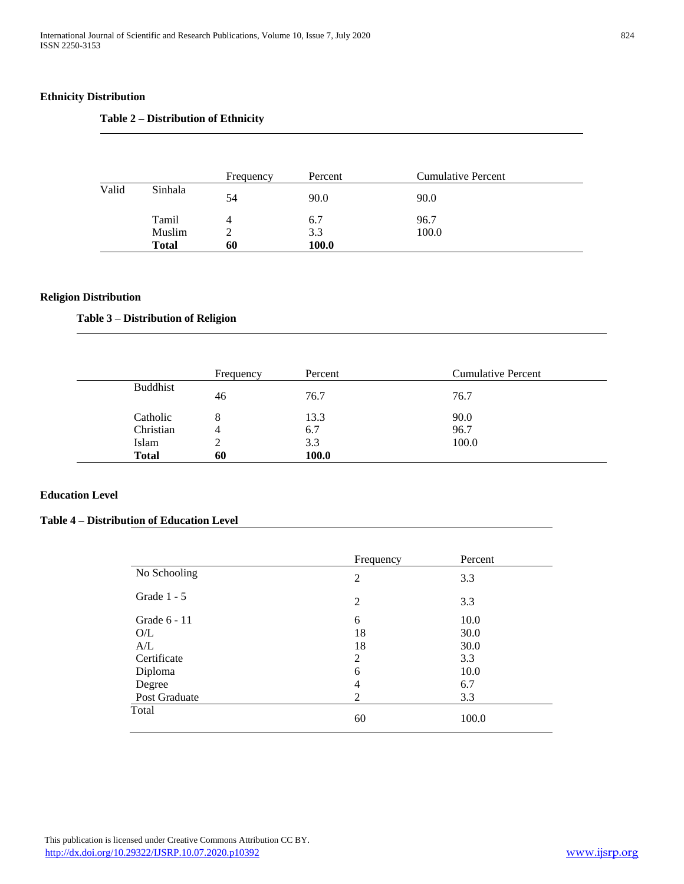# **Ethnicity Distribution**

# **Table 2 – Distribution of Ethnicity**

|       |              | Frequency | Percent | <b>Cumulative Percent</b> |
|-------|--------------|-----------|---------|---------------------------|
| Valid | Sinhala      | 54        | 90.0    | 90.0                      |
|       | Tamil        | 4         | 6.7     | 96.7                      |
|       | Muslim       |           | 3.3     | 100.0                     |
|       | <b>Total</b> | 60        | 100.0   |                           |

# **Religion Distribution**

# **Table 3 – Distribution of Religion**

|                 | Frequency | Percent | <b>Cumulative Percent</b> |
|-----------------|-----------|---------|---------------------------|
| <b>Buddhist</b> | 46        | 76.7    | 76.7                      |
| Catholic        | 8         | 13.3    | 90.0                      |
| Christian       | 4         | 6.7     | 96.7                      |
| Islam           |           | 3.3     | 100.0                     |
| <b>Total</b>    | 60        | 100.0   |                           |

# **Education Level**

# **Table 4 – Distribution of Education Level**

|               | Frequency | Percent |
|---------------|-----------|---------|
| No Schooling  | 2         | 3.3     |
| Grade $1 - 5$ | 2         | 3.3     |
| Grade 6 - 11  | 6         | 10.0    |
| O/L           | 18        | 30.0    |
| A/L           | 18        | 30.0    |
| Certificate   | 2         | 3.3     |
| Diploma       | 6         | 10.0    |
| Degree        | 4         | 6.7     |
| Post Graduate | 2         | 3.3     |
| Total         | 60        | 100.0   |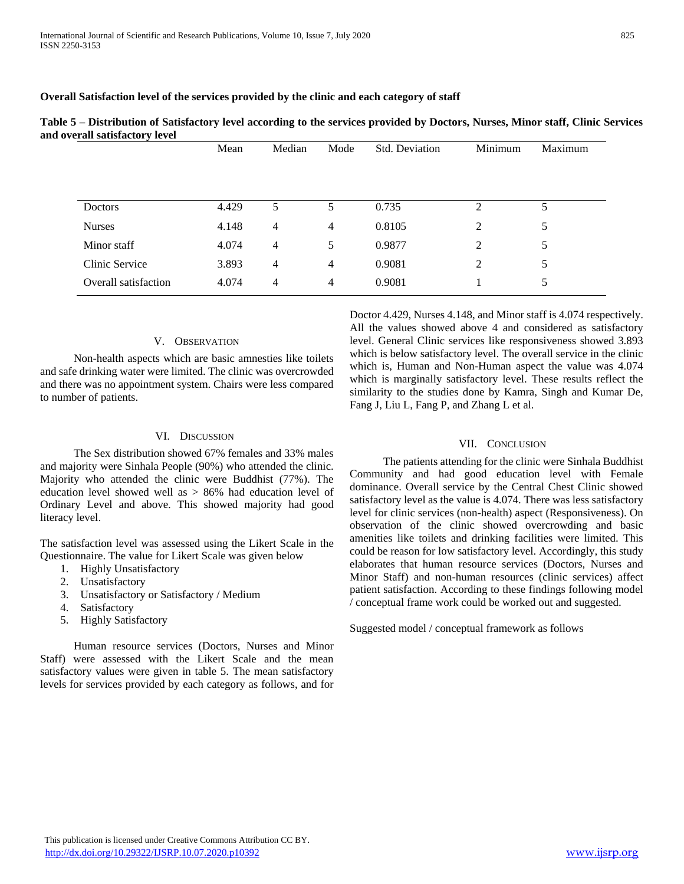#### **Overall Satisfaction level of the services provided by the clinic and each category of staff**

|                      | Mean  | Median         | Mode           | Std. Deviation | Minimum        | Maximum |
|----------------------|-------|----------------|----------------|----------------|----------------|---------|
| <b>Doctors</b>       | 4.429 | 5              | 5              | 0.735          | 2              | 5       |
| <b>Nurses</b>        | 4.148 | 4              | $\overline{4}$ | 0.8105         | $\overline{2}$ | 5       |
| Minor staff          | 4.074 | 4              | 5              | 0.9877         | $\overline{2}$ | 5       |
| Clinic Service       | 3.893 | 4              | $\overline{4}$ | 0.9081         | $\overline{2}$ | 5       |
| Overall satisfaction | 4.074 | $\overline{4}$ | 4              | 0.9081         |                | 5       |

|                                | Table 5 – Distribution of Satisfactory level according to the services provided by Doctors, Nurses, Minor staff, Clinic Services |  |  |
|--------------------------------|----------------------------------------------------------------------------------------------------------------------------------|--|--|
| and overall satisfactory level |                                                                                                                                  |  |  |

#### V. OBSERVATION

 Non-health aspects which are basic amnesties like toilets and safe drinking water were limited. The clinic was overcrowded and there was no appointment system. Chairs were less compared to number of patients.

## VI. DISCUSSION

 The Sex distribution showed 67% females and 33% males and majority were Sinhala People (90%) who attended the clinic. Majority who attended the clinic were Buddhist (77%). The education level showed well as > 86% had education level of Ordinary Level and above. This showed majority had good literacy level.

The satisfaction level was assessed using the Likert Scale in the Questionnaire. The value for Likert Scale was given below

- 1. Highly Unsatisfactory
- 2. Unsatisfactory
- 3. Unsatisfactory or Satisfactory / Medium
- 4. Satisfactory
- 5. Highly Satisfactory

 Human resource services (Doctors, Nurses and Minor Staff) were assessed with the Likert Scale and the mean satisfactory values were given in table 5. The mean satisfactory levels for services provided by each category as follows, and for Doctor 4.429, Nurses 4.148, and Minor staff is 4.074 respectively. All the values showed above 4 and considered as satisfactory level. General Clinic services like responsiveness showed 3.893 which is below satisfactory level. The overall service in the clinic which is, Human and Non-Human aspect the value was 4.074 which is marginally satisfactory level. These results reflect the similarity to the studies done by Kamra, Singh and Kumar De, Fang J, Liu L, Fang P, and Zhang L et al.

# VII. CONCLUSION

 The patients attending for the clinic were Sinhala Buddhist Community and had good education level with Female dominance. Overall service by the Central Chest Clinic showed satisfactory level as the value is 4.074. There was less satisfactory level for clinic services (non-health) aspect (Responsiveness). On observation of the clinic showed overcrowding and basic amenities like toilets and drinking facilities were limited. This could be reason for low satisfactory level. Accordingly, this study elaborates that human resource services (Doctors, Nurses and Minor Staff) and non-human resources (clinic services) affect patient satisfaction. According to these findings following model / conceptual frame work could be worked out and suggested.

Suggested model / conceptual framework as follows